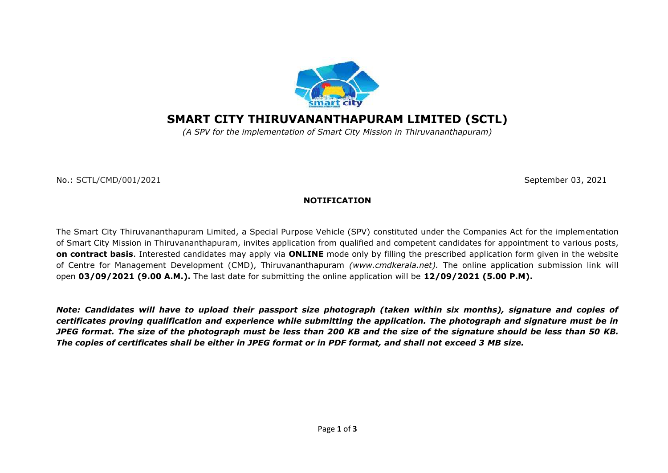

## **SMART CITY THIRUVANANTHAPURAM LIMITED (SCTL)**

*(A SPV for the implementation of Smart City Mission in Thiruvananthapuram)*

No.: SCTL/CMD/001/2021September 03, 2021

## **NOTIFICATION**

The Smart City Thiruvananthapuram Limited, a Special Purpose Vehicle (SPV) constituted under the Companies Act for the implementation of Smart City Mission in Thiruvananthapuram, invites application from qualified and competent candidates for appointment to various posts, **on contract basis**. Interested candidates may apply via **ONLINE** mode only by filling the prescribed application form given in the website of Centre for Management Development (CMD), Thiruvananthapuram *[\(www.cmdkerala.net\)](http://www.cmdkerala.net/).* The online application submission link will open **03/09/2021 (9.00 A.M.).** The last date for submitting the online application will be **12/09/2021 (5.00 P.M).** 

*Note: Candidates will have to upload their passport size photograph (taken within six months), signature and copies of certificates proving qualification and experience while submitting the application. The photograph and signature must be in JPEG format. The size of the photograph must be less than 200 KB and the size of the signature should be less than 50 KB. The copies of certificates shall be either in JPEG format or in PDF format, and shall not exceed 3 MB size.*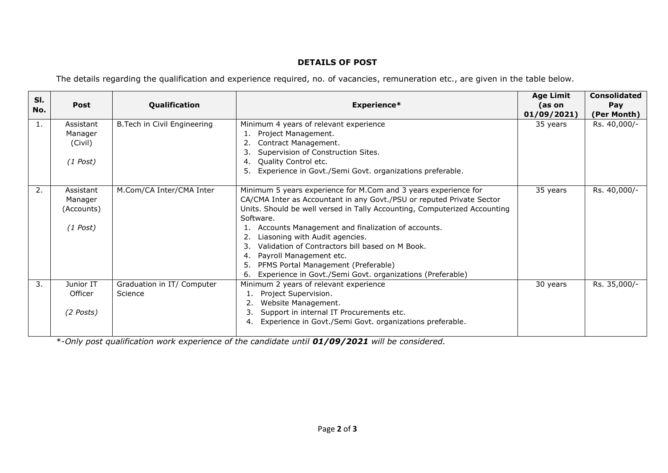## **DETAILS OF POST**

The details regarding the qualification and experience required, no. of vacancies, remuneration etc., are given in the table below.

| SI. |             |                              |                                                                           | <b>Age Limit</b> | <b>Consolidated</b> |
|-----|-------------|------------------------------|---------------------------------------------------------------------------|------------------|---------------------|
| No. | <b>Post</b> | Qualification                | Experience*                                                               | (as on           | Pay                 |
|     |             |                              |                                                                           | 01/09/2021       | (Per Month)         |
| 1.  | Assistant   | B. Tech in Civil Engineering | Minimum 4 years of relevant experience                                    | 35 years         | Rs. 40,000/-        |
|     | Manager     |                              | Project Management.<br>1.                                                 |                  |                     |
|     | (Civil)     |                              | Contract Management.                                                      |                  |                     |
|     |             |                              | Supervision of Construction Sites.                                        |                  |                     |
|     | $(1$ Post)  |                              | Quality Control etc.<br>4.                                                |                  |                     |
|     |             |                              | Experience in Govt./Semi Govt. organizations preferable.<br>5.            |                  |                     |
|     |             |                              |                                                                           |                  |                     |
| 2.  | Assistant   | M.Com/CA Inter/CMA Inter     | Minimum 5 years experience for M.Com and 3 years experience for           | 35 years         | Rs. 40,000/-        |
|     | Manager     |                              | CA/CMA Inter as Accountant in any Govt./PSU or reputed Private Sector     |                  |                     |
|     | (Accounts)  |                              | Units. Should be well versed in Tally Accounting, Computerized Accounting |                  |                     |
|     |             |                              | Software.                                                                 |                  |                     |
|     | $(1$ Post)  |                              | Accounts Management and finalization of accounts.                         |                  |                     |
|     |             |                              | Liasoning with Audit agencies.                                            |                  |                     |
|     |             |                              | Validation of Contractors bill based on M Book.                           |                  |                     |
|     |             |                              | Payroll Management etc.<br>4.                                             |                  |                     |
|     |             |                              | PFMS Portal Management (Preferable)<br>5.                                 |                  |                     |
|     |             |                              | Experience in Govt./Semi Govt. organizations (Preferable)<br>6.           |                  |                     |
| 3.  | Junior IT   | Graduation in IT/ Computer   | Minimum 2 years of relevant experience                                    | 30 years         | Rs. 35,000/-        |
|     | Officer     | Science                      | Project Supervision.                                                      |                  |                     |
|     |             |                              | Website Management.                                                       |                  |                     |
|     | $(2$ Posts) |                              | Support in internal IT Procurements etc.                                  |                  |                     |
|     |             |                              | Experience in Govt./Semi Govt. organizations preferable.<br>4             |                  |                     |
|     |             |                              |                                                                           |                  |                     |

\*-*Only post qualification work experience of the candidate until 01/09/2021 will be considered.*